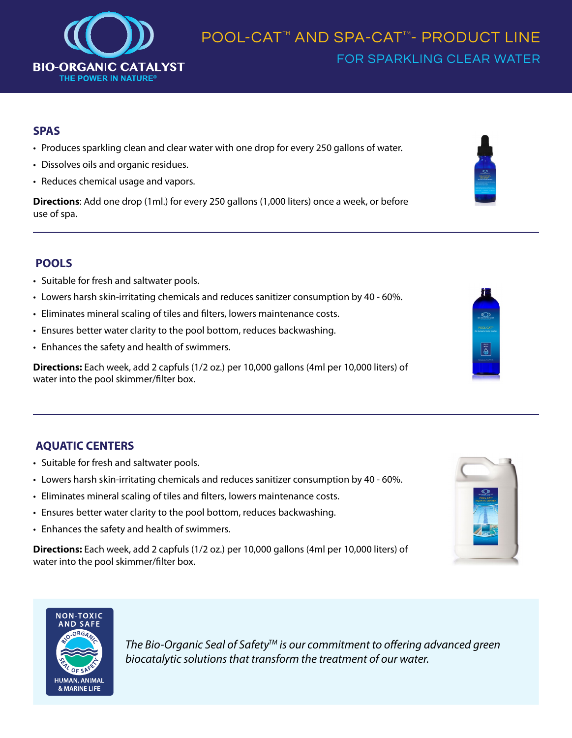

### **SPAS**

- Produces sparkling clean and clear water with one drop for every 250 gallons of water.
- Dissolves oils and organic residues.
- Reduces chemical usage and vapors.

**Directions**: Add one drop (1ml.) for every 250 gallons (1,000 liters) once a week, or before use of spa.

## **POOLS**

- Suitable for fresh and saltwater pools.
- Lowers harsh skin-irritating chemicals and reduces sanitizer consumption by 40 60%.
- Eliminates mineral scaling of tiles and filters, lowers maintenance costs.
- Ensures better water clarity to the pool bottom, reduces backwashing.
- Enhances the safety and health of swimmers.

**Directions:** Each week, add 2 capfuls (1/2 oz.) per 10,000 gallons (4ml per 10,000 liters) of water into the pool skimmer/filter box.

## **AQUATIC CENTERS**

- Suitable for fresh and saltwater pools.
- Lowers harsh skin-irritating chemicals and reduces sanitizer consumption by 40 60%.
- Eliminates mineral scaling of tiles and filters, lowers maintenance costs.
- Ensures better water clarity to the pool bottom, reduces backwashing.
- Enhances the safety and health of swimmers.

**Directions:** Each week, add 2 capfuls (1/2 oz.) per 10,000 gallons (4ml per 10,000 liters) of water into the pool skimmer/filter box.





*The Bio-Organic Seal of SafetyTM is our commitment to offering advanced green*  biocatalytic solutions that transform the treatment of our water.